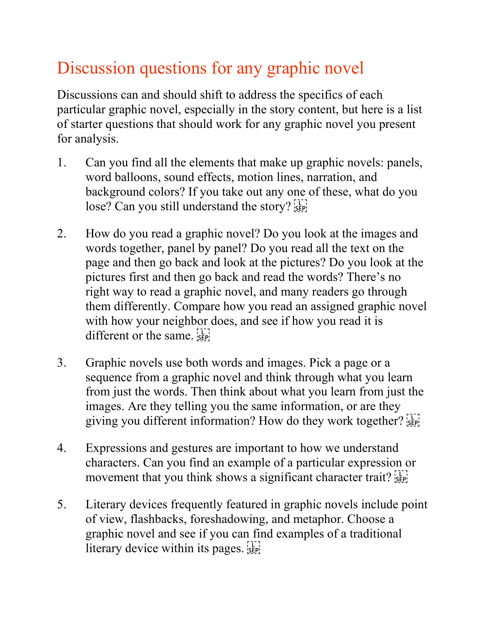## Discussion questions for any graphic novel

Discussions can and should shift to address the specifics of each particular graphic novel, especially in the story content, but here is a list of starter questions that should work for any graphic novel you present for analysis.

- 1. Can you find all the elements that make up graphic novels: panels, word balloons, sound effects, motion lines, narration, and background colors? If you take out any one of these, what do you lose? Can you still understand the story? <sup>[17]</sup>
- 2. How do you read a graphic novel? Do you look at the images and words together, panel by panel? Do you read all the text on the page and then go back and look at the pictures? Do you look at the pictures first and then go back and read the words? There's no right way to read a graphic novel, and many readers go through them differently. Compare how you read an assigned graphic novel with how your neighbor does, and see if how you read it is different or the same.  $\frac{1}{35}$
- 3. Graphic novels use both words and images. Pick a page or a sequence from a graphic novel and think through what you learn from just the words. Then think about what you learn from just the images. Are they telling you the same information, or are they giving you different information? How do they work together?  $\frac{1}{15}$
- 4. Expressions and gestures are important to how we understand characters. Can you find an example of a particular expression or movement that you think shows a significant character trait?  $\frac{1}{15}$
- 5. Literary devices frequently featured in graphic novels include point of view, flashbacks, foreshadowing, and metaphor. Choose a graphic novel and see if you can find examples of a traditional literary device within its pages.